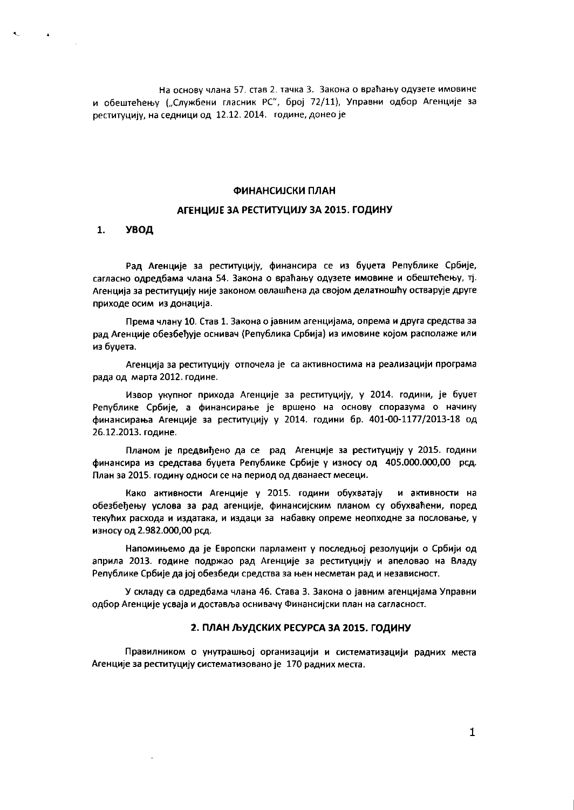На основу члана 57. став 2. тачка 3. Закона о враћању одузете имовине и обештећењу ("Службени гласник РС", број 72/11), Управни одбор Агенције за реституцију, на седници од 12.12. 2014. године, донео је

### ФИНАНСИЈСКИ ПЛАН

# АГЕНЦИЈЕ ЗА РЕСТИТУЦИЈУ ЗА 2015. ГОДИНУ

#### $\mathbf{1}$ . **УВОД**

 $\mathbf{Q}^{(1)}$  and  $\mathbf{Q}^{(2)}$ 

Рад Агенције за реституцију, финансира се из буџета Републике Србије, сагласно одредбама члана 54. Закона о враћању одузете имовине и обештећењу, тј. Агенција за реституцију није законом овлашћена да својом делатношћу остварује друге приходе осим из донација.

Према члану 10. Став 1. Закона о јавним агенцијама, опрема и друга средства за рад Агенције обезбеђује оснивач (Република Србија) из имовине којом располаже или из буџета.

Агенција за реституцију отпочела је са активностима на реализацији програма рада од марта 2012. године.

Извор укупног прихода Агенције за реституцију, у 2014. години, је буџет Републике Србије, а финансирање је вршено на основу споразума о начину финансирања Агенције за реституцију у 2014. години бр. 401-00-1177/2013-18 од 26.12.2013. године.

Планом је предвиђено да се рад Агенције за реституцију у 2015. години финансира из средстава буџета Републике Србије у износу од 405.000.000,00 рсд. План за 2015. годину односи се на период од дванаест месеци.

Како активности Агенције у 2015. години обухватају и активности на обезбеђењу услова за рад агенције, финансијским планом су обухваћени, поред текућих расхода и издатака, и издаци за набавку опреме неопходне за пословање, у износу од 2.982.000,00 рсд.

Напомињемо да је Европски парламент у последњој резолуцији о Србији од априла 2013. године подржао рад Агенције за реституцију и апеловао на Владу Републике Србије да јој обезбеди средства за њен несметан рад и независност.

У складу са одредбама члана 46. Става 3. Закона о јавним агенцијама Управни одбор Агенције усваја и доставља оснивачу Финансијски план на сагласност.

# 2. ПЛАН ЉУДСКИХ РЕСУРСА ЗА 2015. ГОДИНУ

Правилником о унутрашњој организацији и систематизацији радних места Агенције за реституцију систематизовано је 170 радних места.

 $\mathbf{1}$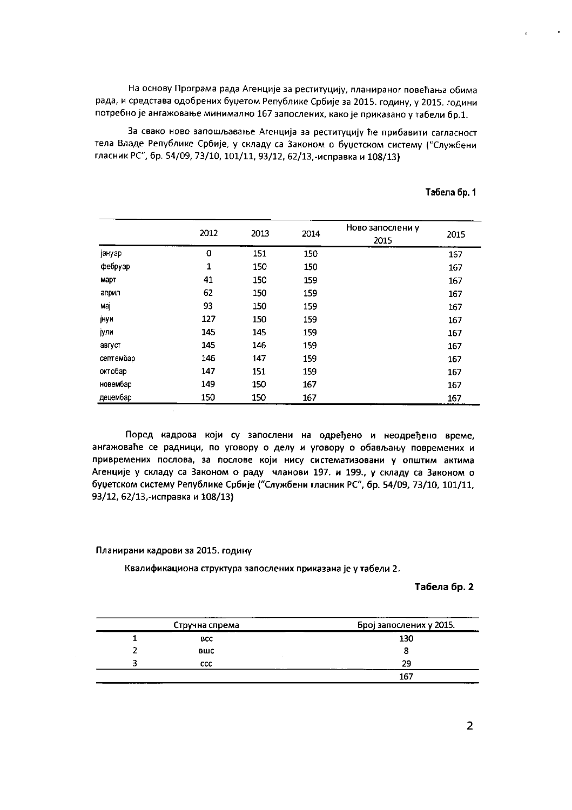На основу Програма рада Агенције за реституцију, планираног повећања обима рада, и средстава одобрених буџетом Републике Србије за 2015. годину, у 2015. години потребно је ангажовање минимално 167 запослених, како је приказано у табели бр.1.

За свако ново запошљавање Агенција за реституцију ће прибавити сагласност тела Владе Републике Србије, у складу са Законом о буџетском систему ("Службени гласник РС", бр. 54/09, 73/10, 101/11, 93/12, 62/13,-исправка и 108/13)

|           |              |      |      | Ново запослени у |      |
|-----------|--------------|------|------|------------------|------|
|           | 2012         | 2013 | 2014 | 2015             | 2015 |
| јануар    | 0            | 151  | 150  |                  | 167  |
| фебруар   | $\mathbf{1}$ | 150  | 150  |                  | 167  |
| март      | 41           | 150  | 159  |                  | 167  |
| април     | 62           | 150  | 159  |                  | 167  |
| мај       | 93           | 150  | 159  |                  | 167  |
| јнуи      | 127          | 150  | 159  |                  | 167  |
| јули      | 145          | 145  | 159  |                  | 167  |
| август    | 145          | 146  | 159  |                  | 167  |
| септембар | 146          | 147  | 159  |                  | 167  |
| октобар   | 147          | 151  | 159  |                  | 167  |
| новембар  | 149          | 150  | 167  |                  | 167  |
| децембар  | 150          | 150  | 167  |                  | 167  |

# Табела бр. 1

Поред кадрова који су запослени на одређено и неодређено време, ангажоваће се радници, по уговору о делу и уговору о обављању повремених и привремених послова, за послове који нису систематизовани у општим актима Агенције у складу са Законом о раду чланови 197. и 199., у складу са Законом о буџетском систему Републике Србије ("Службени гласник РС", бр. 54/09, 73/10, 101/11, 93/12, 62/13,-исправка и 108/13)

# Планирани кадрови за 2015. годину

 $\bar{\mathcal{A}}$ 

Квалификациона структура запослених приказана је у табели 2.

### Табела бр. 2

| Стручна спрема | Број запослених у 2015. |
|----------------|-------------------------|
| <b>BCC</b>     | 130                     |
| вшс            |                         |
| <b>CCC</b>     | 29                      |
|                | 167                     |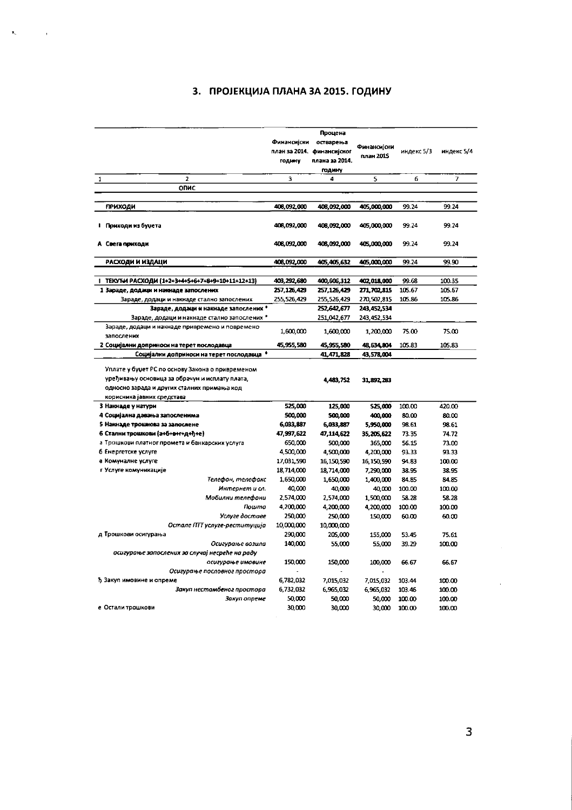# 3. ПРОЈЕКЦИЈА ПЛАНА ЗА 2015. ГОДИНУ

 $\mathbf{r}_\mathrm{c}$ 

 $\sim 10^{11}$ 

|                                                                                                                                                                                 | Финансијски<br>план за 2014.<br>годину | Процена<br>остварења<br>финансијског<br>плана за 2014.<br><b>ГОДИНУ</b> | Финансијски<br>план 2015 | индекс 5/3 | индекс 5/4 |
|---------------------------------------------------------------------------------------------------------------------------------------------------------------------------------|----------------------------------------|-------------------------------------------------------------------------|--------------------------|------------|------------|
| $\overline{a}$<br>$\mathbf{1}$                                                                                                                                                  | 3                                      | 4                                                                       | 5                        | 6          | 7          |
| ОПИС                                                                                                                                                                            |                                        |                                                                         |                          |            |            |
|                                                                                                                                                                                 |                                        |                                                                         |                          |            |            |
| <b>ПРИХОДИ</b>                                                                                                                                                                  | 408,092,000                            | 408,092,000                                                             | 405,000,000              | 99.24      | 99.24      |
| і Приходи из буџета                                                                                                                                                             | 408,092,000                            | 408,092,000                                                             | 405,000,000              | 99.24      | 99.24      |
| А Свега приходи                                                                                                                                                                 | 408,092,000                            | 408,092,000                                                             | 405,000,000              | 99.24      | 99.24      |
| РАСХОДИ И ИЗДАЦИ                                                                                                                                                                | 408,092,000                            | 405,405,632                                                             | 405,000,000              | 99.24      | 99.90      |
|                                                                                                                                                                                 |                                        |                                                                         |                          |            |            |
| ТЕКУЋИ РАСХОДИ (1+2+3+4+5+6+7+8+9+10+11+12+13)                                                                                                                                  | 403,292,680                            | 400,606,312                                                             | 402,018,000              | 99.68      | 100 35     |
| 1 Зараде, додаци и накнаде запослених                                                                                                                                           | 257,126,429                            | 257,126,429                                                             | 271,702,815              | 105.67     | 105.67     |
| Зараде, додаци и накнаде стално запослених                                                                                                                                      | 255.526.429                            | 255,526,429                                                             | 270,502,815              | 105.86     | 105.86     |
| Зараде, додаци и накиаде запослених *                                                                                                                                           |                                        | 252,642,677                                                             | 243,452.534              |            |            |
| Зараде, додаци и накнаде стално запослених *                                                                                                                                    |                                        | 251,042,677                                                             | 243,452,534              |            |            |
| Зараде, додаци и накнаде привремено и повремено<br>запослених                                                                                                                   | 1,600,000                              | 1,600,000                                                               | 1,200,000                | 75.00      | 7500       |
| 2 Социјални доприноси на терет послодавца                                                                                                                                       | 45,955,580                             | 45,955,580                                                              | 48,634,804               | 105.83     | 105.83     |
| Социјални доприноси на терет послодавца *                                                                                                                                       |                                        | 41,471,828                                                              | 43,578,004               |            |            |
| Уплате у буџет РС по основу Закона о привременом<br>уређивању основица за обрачун и исплату плата,<br>односно зарада и других сталних примања код<br>корисника јавних средстава |                                        | 4,483,752                                                               | 31,892,283               |            |            |
| 3 Накнаде у натури                                                                                                                                                              | 525,000                                | 125,000                                                                 | 525,000                  | 100.00     | 420.00     |
| 4 Социјална давања запосленима                                                                                                                                                  | 500,000                                | 500,000                                                                 | 400,000                  | 80.00      | 80.00      |
| 5 Накнаде трошкова за запослене                                                                                                                                                 | 6,033,887                              | 6,033,887                                                               | 5,950,000                | 98.61      | 98.61      |
| 6 Стални трошкови (а+6+е+г+д+ђ+е)                                                                                                                                               | 47,997,622                             | 47,114,622                                                              | 35,205,622               | 73.35      | 74.72      |
| а Трошкови платног промета и банкарских услуга                                                                                                                                  | 650.000                                | 500,000                                                                 | 365,000                  | 56.15      | 73.00      |
| б Енергетске услуге                                                                                                                                                             | 4,500,000                              | 4,500,000                                                               | 4,200,000                | 93.33      | 93.33      |
| в Комуналне услуге                                                                                                                                                              | 17,031,590                             | 16,150,590                                                              | 16,150.590               | 94.83      | 100.00     |
| г Услуге комуникације                                                                                                                                                           | 18,714,000                             | 18,714,000                                                              | 7,290,000                | 38.95      | 38.95      |
| Телефон, телефакс                                                                                                                                                               | 1,650,000                              | 1,650,000                                                               | 1,400,000                | 84.85      | 84.85      |
| Интернет и сл.                                                                                                                                                                  | 40,000                                 | 40,000                                                                  | 40,000                   | 100.00     | 100.00     |
| Мобилни телефони                                                                                                                                                                | 2,574,000                              | 2,574.000                                                               | 1,500,000                | 58.28      | 58.28      |
| Пошта                                                                                                                                                                           | 4,200.000                              | 4,200,000                                                               | 4,200,000                | 100.00     | 100.00     |
| Услуге доставе                                                                                                                                                                  | 250,000                                | 250,000                                                                 | 150,000                  | 60.00      | 60.00      |
| Остале ПТТ услуге-реституција                                                                                                                                                   | 10,000,000                             | 10,000.000                                                              |                          |            |            |
| д Трошкови осигурања                                                                                                                                                            | 290,000                                | 205,000                                                                 | 155,000                  | 53.45      | 75.61      |
| Осигурање возила                                                                                                                                                                | 140,000                                | 55.000                                                                  | 55,000                   | 39.29      | 100.00     |
| осигурање запослених за случај несреће на раду                                                                                                                                  |                                        |                                                                         |                          |            |            |
| осигурање имовине<br>Осигурање пословног простора                                                                                                                               | 150,000                                | 150,000                                                                 | 100,000                  | 66.67      | 66.67      |
| ђ Закуп имовине и опреме                                                                                                                                                        | 6,782,032                              | 7,015,032                                                               | 7,015,032                | 103.44     | 100.00     |
| Закуп нестамбеног простора                                                                                                                                                      | 6,732,032                              | 6,965,032                                                               | 6,965,032                | 103.46     | 100.00     |
| Закуп опреме                                                                                                                                                                    | 50,000                                 | 50.000                                                                  | 50,000                   | 100.00     | 100.00     |
| е Остали трошкови                                                                                                                                                               | 30,000                                 | 30.000                                                                  | 30,000                   | 100.00     | 100.00     |

 $\mathcal{A}$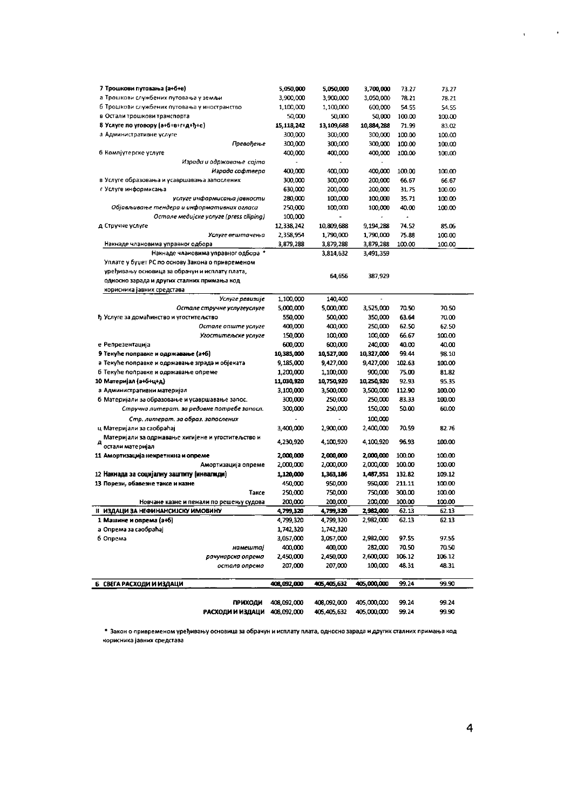| 7 Трошкови путовања (а+б+е).                                                            | 5,050,000    | 5,050,000    | 3,700,000   | 73.27                | 73.27  |
|-----------------------------------------------------------------------------------------|--------------|--------------|-------------|----------------------|--------|
| а Трошкови службених путовања у земљи                                                   | 3,900,000    | 3,900,000    | 3,050,000   | 78.21                | 78.21  |
| б Трошкови службених путовања у иностранство                                            | 1,100,000    | 1,100,000    | 600,000     | 54.55                | 54.55  |
| в Остали трошкови транспорта                                                            | 50.000       | 50.000       | 50,000      | 100.00               | 100.00 |
| 8 Услуге по уговору (а+б+в+г+д+ђ+е)                                                     | 15, 118, 242 | 13, 109, 688 | 10,884,288  | 71.99                | 83.02  |
| а Административне услуге                                                                | 300.000      | 300,000      | 300,000     | 100.00               | 100.00 |
| Превођење                                                                               | 300,000      | 300.000      | 300,000     | 100.00               | 100.00 |
| б Компјутерске услуге                                                                   | 400,000      | 400.000      | 400,000     | 100.00               | 100.00 |
| Израда и одржавање-сајта                                                                |              |              |             |                      |        |
| Израда софтвера                                                                         | 400,000      | 400,000      | 400,000     | 100.00               | 100.00 |
| в Услуге образовања и усавршавања запослених                                            | 300,000      | 300.000      | 200,000     | 66.67                | 66.67  |
| г Услуге информисања                                                                    | 630,000      | 200,000      | 200,000     | 31.75                | 100.00 |
| услуге информисања јавности                                                             | 280,000      | 100,000      | 100,000     | 35.71                | 100.00 |
| Објављивање тендера и информативних огласа                                              | 250,000      | 100,000      | 100,000     | 40.00                | 100.00 |
| Остале медијске услуге (press clliping)                                                 | 100,000      |              |             | $\ddot{\phantom{1}}$ |        |
| д Стручне услуге                                                                        | 12,338,242   | 10,809,688   | 9,194,288   | 74.52                | 85.06  |
| Услуге вештачења                                                                        | 2,358,954    | 1,790,000    | 1,790,000   | 75.88                | 100.00 |
| Накнаде члановима управног одбора                                                       | 3,879,288    | 3,879,288    | 3,879,288   | 100.00               | 100.00 |
|                                                                                         |              |              |             |                      |        |
| Накнаде члановима управног одбора *<br>Уплате у буџет РС по основу Закона о привременом |              | 3,814,632    | 3,491,359   |                      |        |
| уређивању основица за обрачун и исплату плата,                                          |              |              |             |                      |        |
|                                                                                         |              | 64.656       | 387,929     |                      |        |
| односно зарада и других сталних примања код                                             |              |              |             |                      |        |
| корисника јавних средстава                                                              |              |              |             |                      |        |
| Услуге ревизије                                                                         | 1,100,000    | 140.400      |             |                      |        |
| Остале стручне услугеуслуге                                                             | 5,000,000    | 5,000,000    | 3,525,000   | 70.50                | 70.50  |
| ђ Услуге за домаћинство и угоститељство                                                 | 550,000      | 500.000      | 350,000     | 63.64                | 70.00  |
| Остале опште услуге                                                                     | 400,000      | 400,000      | 250,000     | 62.50                | 62.50  |
| Угоститељске услуге                                                                     | 150,000      | 100,000      | 100,000     | 66.67                | 100.00 |
| е Репрезентација                                                                        | 600,000      | 600,000      | 240,000     | 40.00                | 40.00  |
| 9 Текуће поправке и одржавање (а+б)                                                     | 10,385,000   | 10,527,000   | 10,327,000  | 99.44                | 98.10  |
| а Текуће поправке и одржавање зграда и објеката                                         | 9,185,000    | 9,427,000    | 9,427,000   | 102.63               | 100.00 |
| б Текуће поправке и одржавање опреме                                                    | 1,200,000    | 1,100,000    | 900,000     | 75.00                | 81.82  |
| 10 Материјал (а+6+и+д)                                                                  | 11,030,920   | 10,750,920   | 10,250,920  | 92.93                | 95.35  |
| а Административни материјал                                                             | 3,100,000    | 3,500,000    | 3,500,000   | 112.90               | 100.00 |
| б Материјали за образовање и усавршавање запос.                                         | 300,000      | 250,000      | 250,000     | 83.33                | 100.00 |
| Стручна литерат. за редовне потребе запосл.                                             | 300,000      | 250,000      | 150,000     | 50.00                | 60.00  |
| Стр. литерат. за образ. запослених                                                      |              |              | 100,000     |                      |        |
| ц Материјали за саобраћај                                                               | 3,400,000    | 2,900,000    | 2,400,000   | 70.59                | 82.76  |
| Материјали за одржавање хигијене и угоститељство и                                      |              |              |             | 96.93                |        |
| остали материјал                                                                        | 4,230,920    | 4,100,920    | 4,100,920   |                      | 100.00 |
| 11 Амортизација некретнина и опреме                                                     | 2,000,000    | 2,000,000    | 2,000,000   | 100 00               | 100.00 |
| Амортизација опреме                                                                     | 2,000,000    | 2,000,000    | 2,000,000   | 100.00               | 100.00 |
| 12 Накнада за социјалну заштиту (инвалиди)                                              | 1,120,000    | 1,363,186    | 1,487,551   | 132.82               | 109.12 |
| 13 Порези, обавезне таксе и казне                                                       | 450,000      | 950,000      | 950,000     | 211 11               | 100.00 |
| Таксе                                                                                   | 250,000      | 750,000      | 750,000     | 300.00               | 100.00 |
| Новчане казне и пенали по решењу судова                                                 | 200,000      | 200,000      | 200,000     | 100.00               | 100.00 |
| <b>II ИЗДАЦИ ЗА НЕФИНАНСИЈСКУ ИМОВИНУ</b>                                               | 4,799,320    | 4,799,320    | 2,982,000   | 62.13                | 62.13  |
| 1 Машине и опрема (а+6)                                                                 | 4,799,320    | 4,799,320    | 2,982,000   | 62.13                | 62.13  |
| a Onpema sa caoopahai                                                                   | 1,742,320    | 1,742,320    |             |                      |        |
| 6 Опрема                                                                                | 3,057,000    | 3,057,000    | 2,982,000   | 97.55                | 97.55  |
| намештаі                                                                                | 400,000      | 400,000      | 282,000     | 70.50                | 70.50  |
| рачунарска опрема                                                                       | 2,450,000    | 2,450.000    | 2,600,000   | 106.12               | 106.12 |
| остала опрема                                                                           | 207,000      | 207,000      | 100,000     | 48.31                | 48.31  |
|                                                                                         |              |              |             |                      |        |
| Б СВЕГА РАСХОДИ И ИЗДАЦИ                                                                | 408,092,000  | 405,405,632  | 405,000,000 | 99 24                | 99.90  |
|                                                                                         |              |              |             |                      |        |
| <b>ПРИХОДИ</b>                                                                          | 408,092,000  | 408,092,000  | 405,000,000 | 99 24                | 99.24  |
| РАСХОДИ И ИЗДАЦИ                                                                        | 408.092.000  | 405,405,632  | 405,000,000 | 99.24                | 99.90  |
|                                                                                         |              |              |             |                      |        |

\* Закон о привременом уређивању основица за обрачун и исплату плата, односно зарада и других сталних примања код корисника јавних средстава

 $\chi_{\rm{max}}=0.001$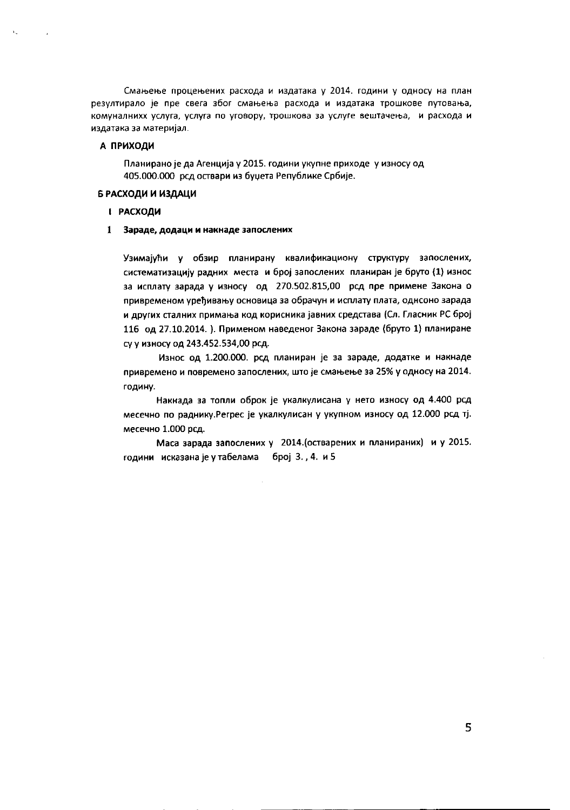Смањење процењених расхода и издатака у 2014. години у односу на план резултирало је пре свега због смањења расхода и издатака трошкове путовања, комуналнихх услуга, услуга по уговору, трошкова за услуге вештачења, и расхода и издатака за материјал.

# А ПРИХОДИ

Планирано је да Агенција у 2015. години укупне приходе у износу од 405.000.000 рсд оствари из буџета Републике Србије.

# Б РАСХОДИ И ИЗДАЦИ

# **І РАСХОДИ**

Зараде, додаци и накнаде запослених 1

Узимајући у обзир планирану квалификациону структуру запослених, систематизацију радних места и број запослених планиран је бруто (1) износ за исплату зарада у износу од 270.502.815,00 род пре примене Закона о привременом уређивању основица за обрачун и исплату плата, однсоно зарада и других сталних примања код корисника јавних средстава (Сл. Гласник РС број 116 од 27.10.2014.). Применом наведеног Закона зараде (бруто 1) планиране су у износу од 243.452.534,00 рсд.

Износ од 1.200.000. рсд планиран је за зараде, додатке и накнаде привремено и повремено запослених, што је смањење за 25% у односу на 2014. годину.

Накнада за топли оброк је укалкулисана у нето износу од 4.400 рсд месечно по раднику. Регрес је укалкулисан у укупном износу од 12.000 рсд тј. месечно 1.000 рсд.

Маса зарада запослених у 2014. (остварених и планираних) и у 2015. години исказана је у табелама број 3., 4. и 5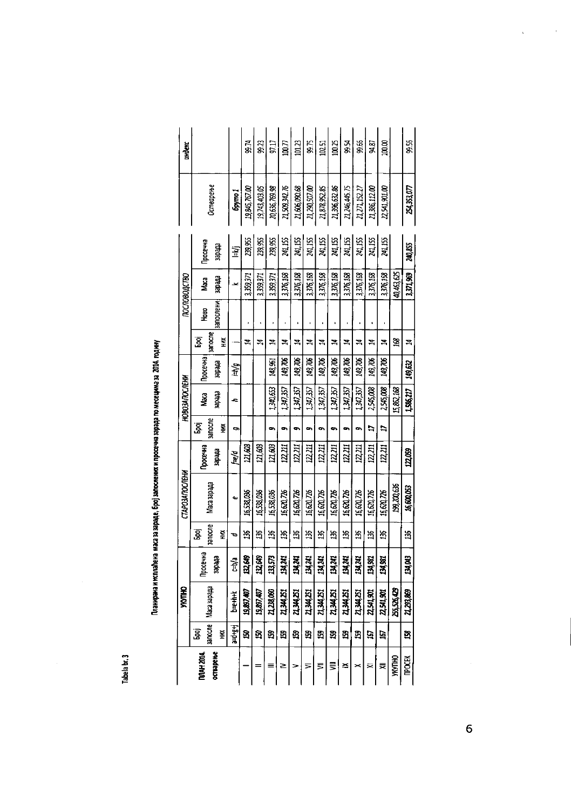| e,     |  |
|--------|--|
| ì<br>٠ |  |
| с<br>۹ |  |
|        |  |
| ٠      |  |

| י<br>ו |
|--------|
|        |
|        |
| l      |
| י<br>ו |
|        |
|        |
|        |
|        |
| l      |
|        |
|        |
|        |
|        |
|        |
|        |
|        |
|        |
|        |
|        |
|        |
|        |
|        |
|        |
|        |
|        |
|        |
|        |
| r      |

|                  |            | <b>YKYTHO</b>         |                 |                      | <b>CTAPO3ANOCRHY</b> |                 |                       | <b>HOBO3ANOC/IEMA</b> |         |              |                   | пословодство |                 |               | индекс         |
|------------------|------------|-----------------------|-----------------|----------------------|----------------------|-----------------|-----------------------|-----------------------|---------|--------------|-------------------|--------------|-----------------|---------------|----------------|
| <b>DDAH 2014</b> | <b>God</b> |                       | <b>Thoce 41</b> | g                    |                      | <b>DOCE YHE</b> | န္တ                   | Ŝ                     | росечна | <u>ទ្ធ</u>   | 유<br>모            | Naca         | <b>poce чна</b> |               |                |
| остварење        | Ř          | sanocne   Maca sapapa | etteles         | <b>Balloche</b><br>Š | Maca sapapa          | ette des        | <b>BATIOCATE</b><br>Š | tredes                | etedes  | sanocne<br>Ě | <b>lanocne HM</b> | ofte des     | theler          | Остварење     |                |
|                  | a-drgri    | be that               | c-b/a           | ь                    | ىە                   | p/s)            | 9                     | c                     | hiti.   |              |                   |              | 室               | boymo 1       |                |
|                  | ទ          | 19,897,407            | 132,649         | 36                   | 16.538.096           | 121,603         |                       |                       |         | 4            |                   | 3,359,371    | 239,955         | 19,845,767.00 | 85 ZQ          |
|                  | ន          | 19,897,407            | 132,649         | ă                    | 16,538,036           | 121,603         |                       |                       |         | Z,           |                   | 3,359,371    | 239,955         | 19,743,403.05 | 33             |
|                  | ន្ទ        | 21,238,060            | 13,573          | 36                   | 16.538.036           | 121,603         | 9                     | 1.340.653             | 148,951 | Ż,           |                   | 339,371      | 239,955         | 20,636,769.98 | 97.17          |
| ≥                | ង          | 21,344,251            | 134,241         | ă                    | 16 620 726           | 122,211         | œ,                    | 1.417.37              | 149,706 | Z            |                   | 3376,168     | 241,155         | 21,509,342.76 | $\overline{u}$ |
|                  | සු         | 21,344,251            | 134,241         | ដ                    | 16,620.726           | 12,211          | ٠                     | 1.34, 35,             | 149,706 | ź,           |                   | 3.376,168    | 241,155         | 21,606,090.68 | 01.23          |
| ⋝                | 5g         | 21,344,251            | 134,741         | 36                   | 16 620 726           | 122,211         | œ                     | 1,347,357             | 149,706 | Z            |                   | 3376,168     | 241,155         | 21,290,507.00 | e<br>18        |
| ⋚                | B          | 21,344,251            | 134,241         | ង                    | 16,620,726           | 12,211          | $\sim$                | 1.34, 35              | 149,706 | Ħ            |                   | 3.376,168    | 241,155         | 21,878,952.85 | 02.51          |
| ⋚                | S          | 21,344,251            | 134,241         | 36                   | 16, 520, 726         | 122.211         | ۰                     | 13037                 | 149,706 | Z,           |                   | 3376.168     | 241,155         | 21,396,632.86 | 100.25         |
| ≊                | ង          | 21,344,251            | 134,241         | ă                    | 16 620, 726          | 12,211          | œ,                    | 1,34,35               | 149,706 | E,           |                   | 3,376,168    | 24,155          | 21,246,445.75 | Aga            |
|                  | 3          | 21,344,251            | 134,241         | 36                   | 16,620,726           | 12,211          | œ                     | 1,347,357             | 149,706 | Z,           |                   | 3376,168     | 241,155         | 21,271,152.27 | \$æ            |
| ⋝                | ģ          | 22,541,901            | 134,901         | ă                    | 16,620,726           | 12,211          | Þ                     | 2,545,008             | 149,706 | Z,           |                   | 3.376,168    | 241,155         | 21,386,112.00 | 08 फ्र         |
| ≂                | ē          | 22,541,901            | 134,981         | 36                   | 16,520,726           | 122,211         | Þ                     | 2,545,008             | 149,706 | ኋ            |                   | 3376,168     | 241,155         | 22,541,901.00 | 100.00         |
| <b>VKVTHO</b>    |            | 255,526,429           |                 |                      | 199,200,636          |                 |                       | 15,862,168            |         | ż,           |                   | 40,463,625   |                 |               |                |
| <b>TPOCEK</b>    | q          | 21,293,869            | छ।<br>स         | ă                    | 16,600,053           | 121,059         |                       | 1.586,217             | 149,632 | 궄            |                   | 3.371.969    | 240,855         | 24.353.077    | 99.56          |

 $\overline{6}$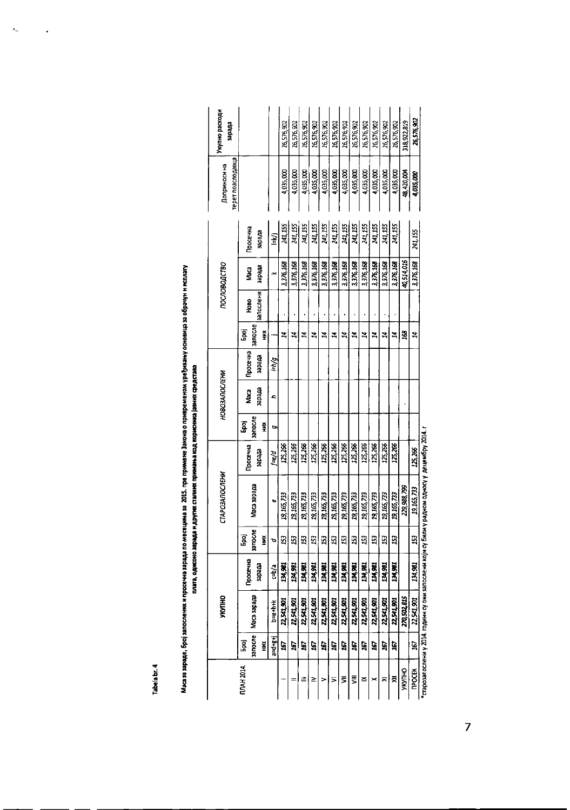Tabela br. 4

 $\bar{\epsilon}_\mu$ 

 $\cdot$ 

|                      |                 | <b>SHUNK</b> |          |              | <b><i>CTAPO3ANOCREWA</i></b> |                |              | <b>HOBO3AROC/IEHN</b> |          |              |           | 000008040180 |          | терет поаслодавца<br>Доприноси на | Укупно расходи<br><b>stredes</b> |
|----------------------|-----------------|--------------|----------|--------------|------------------------------|----------------|--------------|-----------------------|----------|--------------|-----------|--------------|----------|-----------------------------------|----------------------------------|
| <b>NDAH 2014</b>     | <b>Gad</b>      |              | Просечна | ٦g<br>مو     |                              | <b>PocevHa</b> | ទ្ធិ         | Maca                  | Просечна | ر<br>و       | Hoso      | Maca         | Гросечна |                                   |                                  |
|                      | sanocre<br>ž    | Maca sapana  | etredes  | запосле<br>¥ | Maca sapapa                  | ebedes         | запосле<br>Ě | etredes               | erredes  | запосле<br>Ě | запослени | etreder      | ebedes   |                                   |                                  |
|                      | $1 - 1 + 8 + 1$ | $b = t + k$  | c-b/a    | o            | Q,                           | f=e/d          | G,           | c                     | i-ivg    |              |           |              | ¥        |                                   |                                  |
|                      | 5               | 22,541,901   | 134,981  | 3            | 19,165,733                   | 125,266        |              |                       |          | 24           |           | 3,376,168    | 241,155  | 4,035,000                         | 26,576,902                       |
|                      | 167             | 22,541,901   | 134,981  | 153          | 19, 165, 733                 | 125,266        |              |                       |          | 24           |           | 3376.168     | 241,155  | 4,035,000                         | 26,576,902                       |
|                      | 167             | 22,541,901   | 134,981  | 153          | 19, 165, 733                 | 125,266        |              |                       |          | Z            |           | 3, 37F. 168  | 241,155  | 4,035,000                         | 26,576,902                       |
| ≥                    | 5               | 22,541,901   | 134,981  | $^{15}$      | 19, 165, 737                 | 125,266        |              |                       |          | 24           |           | 3,376,168    | 241,155  | 4,035,000                         | 26,576,302                       |
|                      | ë               | 22,541,901   | 134,981  | $\mathbf{E}$ | 19, 165, 733                 | 125,260        |              |                       |          | Z            |           | 3,376,168    | 241,155  | 4,035,000                         | 26,576,902                       |
| 5                    | ē               | 22,541,901   | 134,961  | $\mathbf{E}$ | 19,165,733                   | 125,266        |              |                       |          | 4            |           | 3,376,168    | 241, 155 | 4,035,000                         | 26,576,902                       |
| ₹                    | 167             | 22,541,901   | 134,981  | $_{23}$      | 19, 165, 733                 | 125,266        |              |                       |          | 24           |           | 3,376,168    | 241,155  | 4,035,000                         | 26,576,902                       |
| ₹                    | 167             | 22,541,901   | 134,981  | 153          | 19, 165, 733                 | 125,266        |              |                       |          | Z            |           | 3376.168     | 241,155  | 4,035.000                         | 26,576,902                       |
| ≍                    | 5               | 22,541,901   | 134, 381 | 153          | 19, 165, 733                 | 125, 266       |              |                       |          | Z            |           | 3376,168     | 241,155  | 4,035,000                         | 26,576,902                       |
|                      | Ġ               | 22,541,901   | 134,981  | ន            | 19, 165, 733                 | 125,266        |              |                       |          | Z            |           | 3,376,168    | 241,155  | 4,035,000                         | 26,576,902                       |
| ≅                    | 50              | 22,541,901   | 134,981  | $\mathbf{E}$ | 19.165,733                   | 125,266        |              |                       |          | Z,           |           | 3,376,168    | 241,155  | 4,035,000                         | 26,576,902                       |
| ₹                    | 167             | 22,541,901   | 134,982  | 53           | 19, 165, 733                 | 125,266        |              |                       |          | ኋ            |           | 3376,168     | 241,155  | 4,035,000                         | 26,576,902                       |
| <b>OHLANK</b>        |                 | 270,502.815  |          |              | 229,988,799                  |                |              |                       |          | 168          |           | 40,514,016   |          | 48,420,004                        | 318,922,819                      |
| <b><i>DPOCEK</i></b> | 19,             | 22,541,901   | 134.981  | $\mathbf{5}$ | 19,165,733                   | 125,266        |              |                       |          | Z            |           | 3376168      | 241 155  | 4,035,000                         | 26,576,902                       |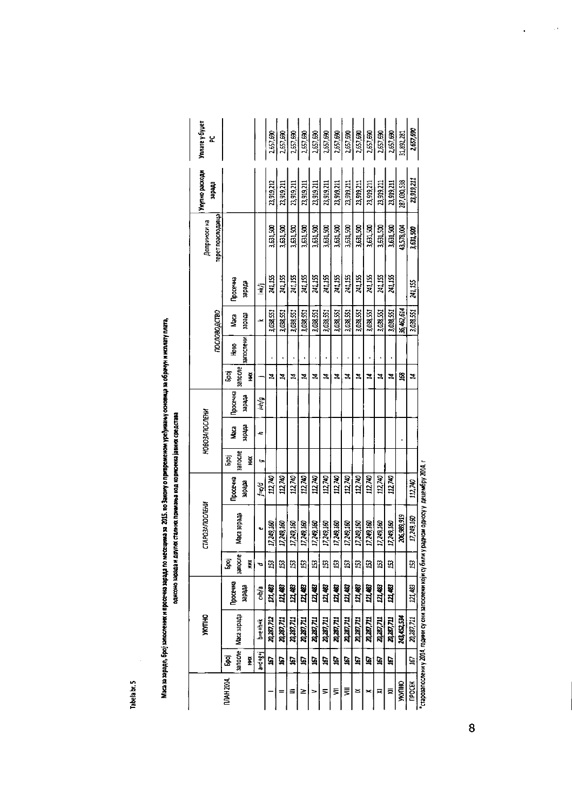Tabela br. 5

|                 |         | <b><i>UKALIAN</i></b>                                                                                         |                    |               | <b>CTAPO3ANOC/IEHW</b> |                |             |                |          |              |           |              |                |                                  | Хидино расходи | Ynnare y Gyuer        |
|-----------------|---------|---------------------------------------------------------------------------------------------------------------|--------------------|---------------|------------------------|----------------|-------------|----------------|----------|--------------|-----------|--------------|----------------|----------------------------------|----------------|-----------------------|
|                 |         |                                                                                                               |                    |               |                        |                |             | HD803ANOC/IEHW |          |              |           | пословодство |                | reper noachopage<br>Доприноси на | ettedes        | ž                     |
| <b>MAH 2014</b> | З.      |                                                                                                               | Гросечна           | g             |                        | Просечна       | 욥           | g              | Просечна | أو<br>م      | ра<br>Ми  | ê            | <b>Poce Ha</b> |                                  |                |                       |
|                 | Ě       | sanocne   Waca sapada                                                                                         | theler             | anocne<br>Ě   | Maca sapapa            | erreter        | anocne<br>Š | ettedek        | etrefer  | sanccne<br>Ĩ | запослени | erreder      | stredes:       |                                  |                |                       |
|                 | a-digit | <b>NH+PL</b>                                                                                                  | c-b <sup>1</sup> a | ъ             | c                      | he/d           | t.          | c              | 一方       |              |           |              | 至              |                                  |                |                       |
|                 | ធ្ន     | 20,287,712                                                                                                    | 121,483            | ្ម            | 17,249,160             | 112,740        |             |                |          | 24           |           | 3,038,551    | 241,155        | 3.631.500                        | 23.919.212     | 2,657,690             |
|                 | ធ្ន     | 20,287,711                                                                                                    | 121,483            | S             | 17,249,160             | 112,740        |             |                |          | Z            | 1         | 3,038,551    | 24,155         | 3.631,500                        | 23,919,211     | 2,57,690              |
|                 | 167     | 20, 287, 711                                                                                                  | 121,483            | 53            | 17749.160              | 112,740        |             |                |          | z            |           | 3,038,551    | 241,155        | 3.631,500                        | 23,919,211     | $\frac{2,657,690}{2}$ |
| ≥               | ğ       | 20,287,711                                                                                                    | 121, 483           | ន្ម           | 17,249,160             | 112,740        |             |                |          | ኋ            |           | 1,038,551    | 241,155        | 3,631,500                        | 23,919,211     | 2,657,690             |
|                 | 3       | 24,267,711                                                                                                    | 121,483            | S)            | 17,249,160             | 112,740        |             |                |          | 24           |           | 3,038,551    | 241,155        | 3,631,500                        | 23,919,211     | 2,657,690             |
| 5               | 367     | 20,287,711                                                                                                    | 121,483            | S             | 17,249,160             | 112,740        |             |                |          | Z            |           | 3,038,551    | 241,155        | 3.631,500                        | 23,919,211     | 2,557.690             |
| ₹               | ĝ,      | 20, 287, 71.1                                                                                                 | 121,483            | ន             | 17,249,160             | 112,740        |             |                |          | ኋ            |           | 3,038,551    | 241,155        | 3,631,500                        | 23,919,211     | 2,657,690             |
| ⋚               | 167     | 20,287,711                                                                                                    | 121,483            | S             | 17,249,160             | 112,740        |             |                |          | ኋ            | ı         | 3,038,551    | 241,155        | 3,631,500                        | 23,919,211     | 2,657,690             |
| ≤               | ធ្ន     | 20,287,711                                                                                                    | 121,463            | S             | 17,249,150             | 112,740        |             |                |          | 2            |           | 3,038,551    | 241.155        | 3,631,500                        | 23,919,211     | 2,657,690             |
|                 | Ø       | 20, 287, 711                                                                                                  | 121,483            | ន             | 17249,160              | 112,740        |             |                |          | z            | ٠         | 3,038,551    | 241,155        | 3,631,500                        | 23,919,211     | 2,657,690             |
| ⋝               | 167     | 20, 287, 711                                                                                                  | 171,483            | ន្ទ           | 17 249 160             | 112,740        |             |                |          | z            |           | 3,038,551    | 241,155        | 3,631,500                        | 23,919,211     | 2,657,690             |
| ₹               | ē       | 20,287,711                                                                                                    | 121,483            | ទ             | 17 249,160             | 112,740        |             |                |          | Z            |           | 3,038,551    | 241,155        | 3,631,500                        | 23,919,211     | 2,657,690             |
| <b>THOMES</b>   |         | 243.452.534                                                                                                   |                    |               | 206,989,919            |                |             |                |          | 3            |           | 36,462,614   |                | 43,578,004                       | 287,030,538    | 31,892,281            |
| <b>TPOCEK</b>   | č5,     | 20.287.711                                                                                                    | 121,483            | ន្ទ           | 17,249,160             | 112,740        |             |                |          | z            |           | 3,038,551    | 241, 155       | 3,631.500                        | 23,919,211     | 2.657,690             |
|                 |         | The possesse of the second computer of the second computer of the computer of the computer of the computer of |                    | nina mu ƙunaw |                        | - מיתי הובייה. |             |                |          |              |           |              |                |                                  |                |                       |

т 1002 идения и косито монтосу сили који су рили која и који су реду се на 1002 и пресорато.

 $\hat{\mathcal{O}}$ 

 $\ddot{\phantom{0}}$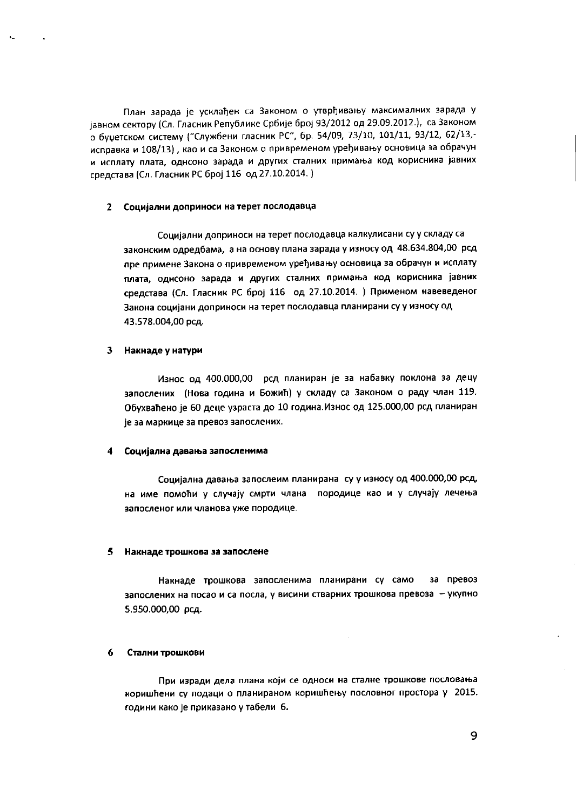План зарада је усклађен са Законом о утврђивању максималних зарада у јавном сектору (Сл. Гласник Републике Србије број 93/2012 од 29.09.2012.), са Законом о буџетском систему ("Службени гласник РС", бр. 54/09, 73/10, 101/11, 93/12, 62/13,исправка и 108/13), као и са Законом о привременом уређивању основица за обрачун и исплату плата, однсоно зарада и других сталних примања код корисника јавних cpencrasa *(Cn.* rnaCH~KPC6poj 116 *oo;* 27.10.2014. )

#### 2 Социјални доприноси на терет послодавца

Социјални доприноси на терет послодавца калкулисани су у складу са законским одредбама, а на основу плана зарада у износу од 48.634.804,00 рсд пре примене Закона о привременом уређивању основица за обрачун и исплату nnara, **OAHCOHO** sapana '" **APyrlo1x CTanHHX npHMatb3 KOp' KOpHcHHKa jasHHx** средстава (Сл. Гласник РС број 116 од 27.10.2014. ) Применом навеведеног Закона социјани доприноси на терет послодавца планирани су у износу од 43.578.004,00 PCA.

#### $\mathbf{3}$ Накнаде у натури

'.

Износ од 400.000,00 рсд планиран је за набавку поклона за децу запослених (Нова година и Божић) у складу са Законом о раду члан 119. Обухваћено је 60 деце узраста до 10 година. Износ од 125.000,00 рсд планиран је за маркице за превоз запослених.

#### Социјална давања запосленима

Социјална давања запослеим планирана су у износу од 400.000,00 рсд. на име помоћи у случају смрти члана породице као и у случају лечења запосленог или чланова уже породице.

#### 5 Накнаде трошкова за запослене

Накнаде трошкова запосленима планирани су само за превоз **3anOClleHMX H3 noeaa iii ca noel1a, y BIo1CIo1HHCTsapHHX TPOWKOS3 npeS03a - yKynHo** 5.950.000,00 рсд.

#### 6 Стални трошкови

**nplo1 1043paA'''Aena nnaHa KOjH ce OAHOCH Ha CTaJ1HeTpOWKoee nocnoBatba** коришћени су подаци о планираном коришћењу пословног простора у 2015. години како је приказано у табели 6.

9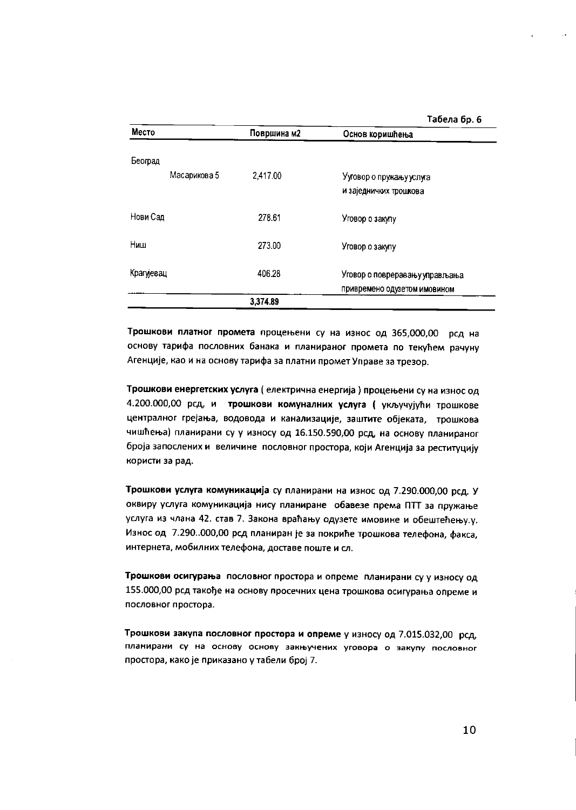#### Табела бр. 6

| Место        | Површина м2 | Основ коришћења                |
|--------------|-------------|--------------------------------|
| Београд      |             |                                |
| Масарикова 5 | 2,417.00    | Ууговор о пружању услуга       |
|              |             | и заједничких трошкова         |
| Нови Сад     | 278.61      | Уговор о закупу                |
| Ниш          | 273.00      | Уговор о закупу                |
| Крагујевац   | 406.28      | Уговор о повреравању управљања |
|              |             | привремено одузетом имовином   |
|              | 3,374.89    |                                |

Трошкови платног промета процењени су на износ од 365,000,00 рсд на основу тарифа пословних банака и планираног промета по текућем рачуну Агенције, као и на основу тарифа за платни промет Управе за трезор.

Трошкови енергетских услуга ( електрична енергија ) процењени су на износ од 4.200.000,00 рсд, и трошкови комуналних услуга (укључујући трошкове централног грејања, водовода и канализације, заштите објеката, трошкова чишћења) планирани су у износу од 16.150.590,00 рсд, на основу планираног броја запослених и величине пословног простора, који Агенција за реституцију користи за рад.

Трошкови услуга комуникација су планирани на износ од 7.290.000,00 рсд. У оквиру услуга комуникација нису планиране обавезе према ПТТ за пружање услуга из члана 42. став 7. Закона враћању одузете имовине и обештећењу.у. Износ од 7.290..000,00 рсд планиран је за покриће трошкова телефона, факса, интернета, мобилних телефона, доставе поште и сл.

Трошкови осигурања пословног простора и опреме планирани су у износу од 155.000,00 рсд такође на основу просечних цена трошкова осигурања опреме и пословног простора.

Трошкови закупа пословног простора и опреме у износу од 7.015.032,00 рсд, планирани су на основу основу закњучених уговора о закупу пословног простора, како је приказано у табели број 7.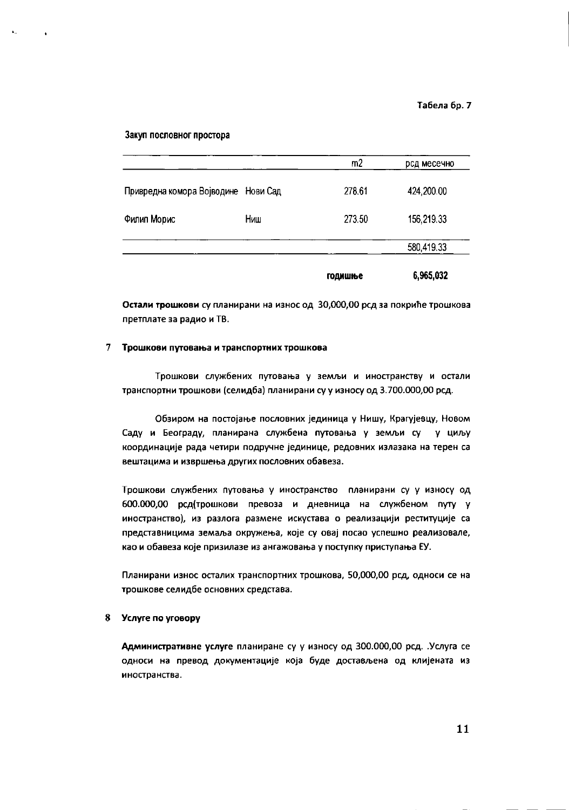Закуп пословног простора

 $\ddot{\phantom{1}}$ 

|                                     |     | m <sub>2</sub> | рсд месечно |
|-------------------------------------|-----|----------------|-------------|
| Привредна комора Војводине Нови Сад |     | 278.61         | 424,200.00  |
| Филип Морис                         | Ниш | 273.50         | 156, 219.33 |
|                                     |     |                | 580,419.33  |
|                                     |     | годишње        | 6,965,032   |

Остали трошкови су планирани на износ од 30,000,00 рсд за покриће трошкова претплате за радио и ТВ.

## 7 Трошкови путовања и транспортних трошкова

Трошкови службених путовања у земљи и иностранству и остали транспортни трошкови (селидба) планирани су у износу од 3.700.000,00 рсд.

Обзиром на постојање пословних јединица у Нишу, Крагујевцу, Новом Саду и Београду, планирана службена путовања у земљи су у циљу координације рада четири подручне јединице, редовних излазака на терен са вештацима и извршења других пословних обавеза.

Трошкови службених путовања у иностранство планирани су у износу од 600.000,00 рсд(трошкови превоза и дневница на службеном путу у иностранство), из разлога размене искустава о реализацији реституције са представницима земаља окружења, које су овај посао успешно реализовале, као и обавеза које призилазе из ангажовања у поступку приступања ЕУ.

Планирани износ осталих транспортних трошкова, 50,000,00 рсд, односи се на трошкове селидбе основних средстава.

# 8 Услуге по уговору

Административне услуге планиране су у износу од 300.000,00 рсд. Услуга се односи на превод документације која буде достављена од клијената из иностранства.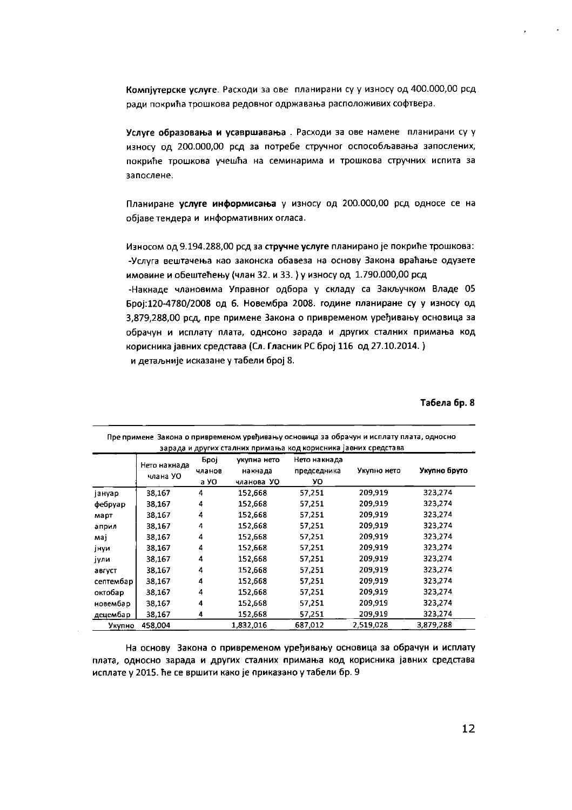Компјутерске услуге. Расходи за ове планирани су у износу од 400.000,00 рсд ради покрића трошкова редовног одржавања расположивих софтвера.

Услуге образовања и усавршавања. Расходи за ове намене планирани су у износу од 200.000,00 рсд за потребе стручног оспособљавања запослених, покриће трошкова учешћа на семинарима и трошкова стручних испита за запослене.

Планиране услуге информисања у износу од 200.000,00 рсд односе се на објаве тендера и информативних огласа.

Износом од 9.194.288,00 рсд за стручне услуге планирано је покриће трошкова: -Услуга вештачења као законска обавеза на основу Закона враћање одузете имовине и обештећењу (члан 32. и 33.) у износу од 1.790.000,00 рсд -Накнаде члановима Управног одбора у складу са Закључком Владе 05 Број:120-4780/2008 од 6. Новембра 2008. године планиране су у износу од 3,879,288,00 рсд, пре примене Закона о привременом уређивању основица за обрачун и исплату плата, однсоно зарада и других сталних примања код корисника јавних средстава (Сл. Гласник РС број 116 од 27.10.2014.) и детаљније исказане у табели број 8.

# Табела бр. 8

| Пре примене Закона о привременом уређивању основица за обрачун и исплату плата, односно<br>зарада и других сталних примања код корисника јавних средстава |                          |                        |                                      |                                   |             |              |
|-----------------------------------------------------------------------------------------------------------------------------------------------------------|--------------------------|------------------------|--------------------------------------|-----------------------------------|-------------|--------------|
|                                                                                                                                                           | Нето накнада<br>члана УО | Број<br>чланов<br>a YO | укупна нето<br>накнада<br>чланова УО | Нето накнада<br>председника<br>УО | Укупно нето | Укупно бруто |
| јануар                                                                                                                                                    | 38,167                   | 4                      | 152,668                              | 57,251                            | 209,919     | 323,274      |
| фебруар                                                                                                                                                   | 38,167                   | 4                      | 152,668                              | 57,251                            | 209.919     | 323,274      |
| март                                                                                                                                                      | 38,167                   | 4                      | 152,668                              | 57,251                            | 209,919     | 323,274      |
| април                                                                                                                                                     | 38,167                   | 4                      | 152,668                              | 57.251                            | 209,919     | 323,274      |
| maj                                                                                                                                                       | 38,167                   | 4                      | 152,668                              | 57,251                            | 209,919     | 323,274      |
| јнуи                                                                                                                                                      | 38,167                   | 4                      | 152,668                              | 57,251                            | 209,919     | 323,274      |
| јули                                                                                                                                                      | 38,167                   | 4                      | 152,668                              | 57,251                            | 209,919     | 323,274      |
| август                                                                                                                                                    | 38,167                   | 4                      | 152,668                              | 57,251                            | 209,919     | 323,274      |
| септембар                                                                                                                                                 | 38,167                   | 4                      | 152,668                              | 57,251                            | 209,919     | 323,274      |
| октобар                                                                                                                                                   | 38,167                   | 4                      | 152,668                              | 57,251                            | 209,919     | 323,274      |
| новембар                                                                                                                                                  | 38,167                   | 4                      | 152,668                              | 57,251                            | 209,919     | 323,274      |
| <u>деце</u> мбар                                                                                                                                          | 38,167                   | 4                      | 152,668                              | 57,251                            | 209,919     | 323,274      |
| Укупно                                                                                                                                                    | 458,004                  |                        | 1,832,016                            | 687,012                           | 2,519,028   | 3,879,288    |

На основу Закона о привременом уређивању основица за обрачун и исплату плата, односно зарада и других сталних примања код корисника јавних средстава исплате у 2015. ће се вршити како је приказано у табели бр. 9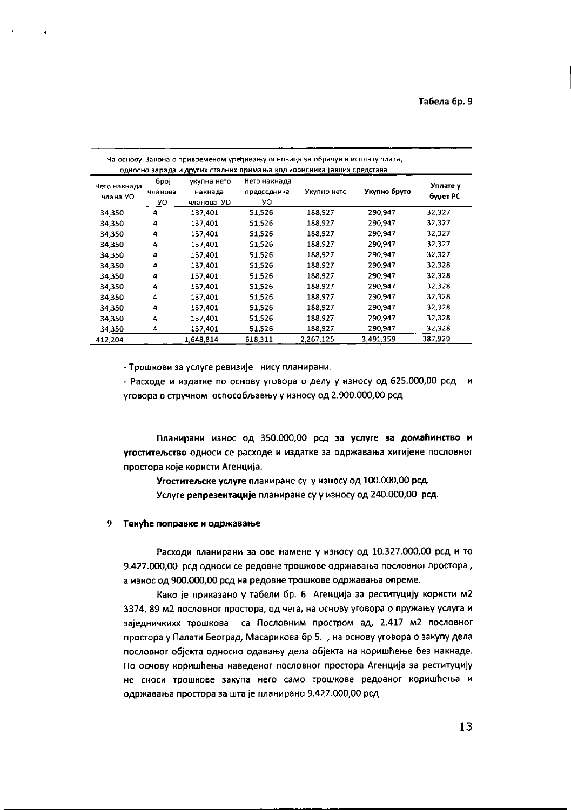| На основу Закона о привременом уређивању основица за обрачун и исплату плата,<br>односно зарада и других сталних примања код корисника јавних средстава |                       |                                      |                                   |             |              |                      |
|---------------------------------------------------------------------------------------------------------------------------------------------------------|-----------------------|--------------------------------------|-----------------------------------|-------------|--------------|----------------------|
| Нето накнада<br>члана УО                                                                                                                                | Број<br>чланова<br>УО | укупна нето<br>накнада<br>чланова УО | Нето накнада<br>председника<br>УO | Укулно нето | Укупно бруто | Уплате у<br>буџет РС |
| 34,350                                                                                                                                                  | 4                     | 137,401                              | 51.526                            | 188,927     | 290,947      | 32,327               |
| 34,350                                                                                                                                                  | 4                     | 137,401                              | 51.526                            | 138,927     | 290,947      | 32,327               |
| 34,350                                                                                                                                                  | 4                     | 137,401                              | 51,526                            | 188,927     | 290,947      | 32,327               |
| 34.350                                                                                                                                                  | 4                     | 137,401                              | 51526                             | 188,927     | 290,947      | 32,327               |
| 34,350                                                                                                                                                  | 4                     | 137,401                              | 51.526                            | 188,927     | 290,947      | 32,327               |
| 34,350                                                                                                                                                  | 4                     | 137,401                              | 51,526                            | 188.927     | 290,947      | 32,328               |
| 34,350                                                                                                                                                  | 4                     | 137,401                              | 51.526                            | 188,927     | 290,947      | 32,328               |
| 34,350                                                                                                                                                  | 4                     | 137,401                              | 51.526                            | 188.927     | 290,947      | 32,328               |
| 34,350                                                                                                                                                  | 4                     | 137,401                              | 51,526                            | 188,927     | 290.947      | 32,328               |
| 34,350                                                                                                                                                  | 4                     | 137,401                              | 51.526                            | 188.927     | 290,947      | 32,328               |
| 34,350                                                                                                                                                  | 4                     | 137,401                              | 51,526                            | 188,927     | 290,947      | 32,328               |
| 34,350                                                                                                                                                  | 4                     | 137,401                              | 51,526                            | 188.927     | 290,947      | 32,328               |
| 412,204                                                                                                                                                 |                       | 1,648,814                            | 618,311                           | 2,267,125   | 3,491.359    | 387,929              |

- Трошкови за услуге ревизије нису планирани.

- Расходе и издатке по основу уговора о делу у износу од 625.000,00 рсд и уговора о стручном оспособљавњу у износу од 2.900.000,00 рсд

Планирани износ од 350.000,00 рсд за услуге за домаћинство и угоститељство односи се расходе и издатке за одржавања хигијене пословног простора које користи Агенција.

Угоститељске услуге планиране су у износу од 100.000,00 рсд. Услуге репрезентације планиране су у износу од 240.000,00 рсд.

#### Текуће поправке и одржавање 9

Расходи планирани за ове намене у износу од 10.327.000,00 рсд и то 9.427.000,00 рсд односи се редовне трошкове одржавања пословног простора, а износ од 900.000,00 рсд на редовне трошкове одржавања опреме.

Како је приказано у табели бр. 6 Агенција за реституцију користи м2 3374, 89 м2 пословног простора, од чега, на основу уговора о пружању услуга и заједничкихх трошкова са Пословним простром ад, 2.417 м2 пословног простора у Палати Београд, Масарикова бр 5. , на основу уговора о закупу дела пословног објекта односно одавању дела објекта на коришћење без накнаде. По основу коришћења наведеног пословног простора Агенција за реституцију не сноси трошкове закупа него само трошкове редовног коришћења и одржавања простора за шта је планирано 9.427.000,00 рсд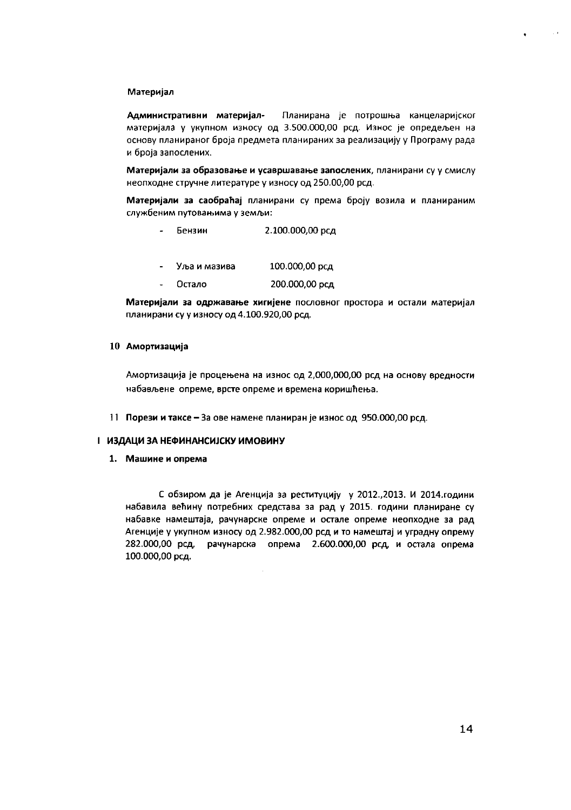#### Материјал

Административни материјал-Планирана је потрошња канцеларијског материјала у укупном износу од 3.500.000,00 рсд. Износ је опредељен на основу планираног броја предмета планираних за реализацију у Програму рада и броја запослених.

Материјали за образовање и усавршавање запослених, планирани су у смислу неопходне стручне литературе у износу од 250.00,00 рсд.

Материјали за саобраћај планирани су према броју возила и планираним службеним путовањима у земљи:

- Бензин 2.100.000,00 рсд
- 100.000,00 рсд Уља и мазива
- Остало 200.000,00 рсд

Материјали за одржавање хигијене пословног простора и остали материјал планирани су у износу од 4.100.920,00 рсд.

#### 10 Амортизација

Амортизација је процењена на износ од 2,000,000,00 рсд на основу вредности набављене опреме, врсте опреме и времена коришћења.

11 Порези и таксе - За ове намене планиран је износ од 950.000,00 рсд.

## І ИЗДАЦИ ЗА НЕФИНАНСИЈСКУ ИМОВИНУ

1. Машине и опрема

С обзиром да је Агенција за реституцију у 2012., 2013. И 2014. години набавила већину потребних средстава за рад у 2015. години планиране су набавке намештаја, рачунарске опреме и остале опреме неопходне за рад Агенције у укупном износу од 2.982.000,00 рсд и то намештај и уградну опрему 282.000,00 рсд, рачунарска опрема 2.600.000,00 рсд, и остала опрема 100.000,00 рсд.

 $\sim$   $\alpha$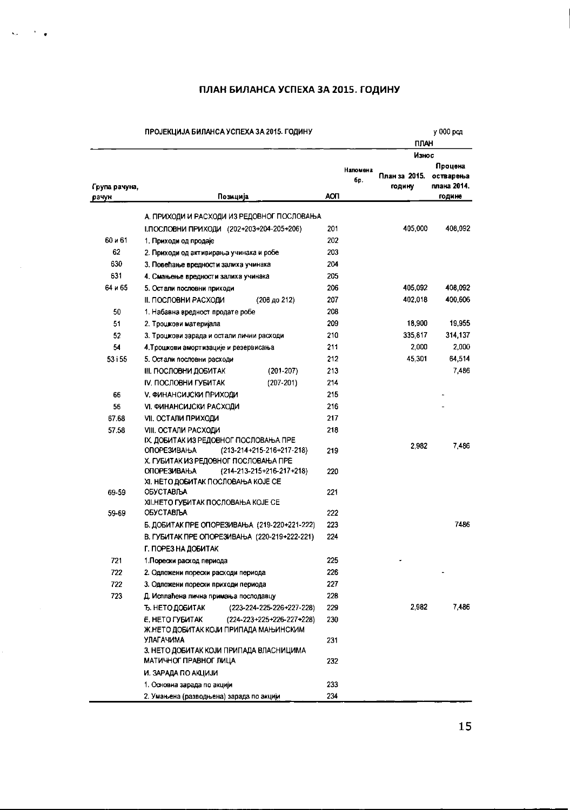# ПЛАН БИЛАНСА УСПЕХА ЗА 2015. ГОДИНУ

|                        | ПРОЈЕКЦИЈА БИЛАНСА УСПЕХА ЗА 2015. ГОДИНУ                                                                                                                          |                               | ПЛАН                              | у 000 род                                     |
|------------------------|--------------------------------------------------------------------------------------------------------------------------------------------------------------------|-------------------------------|-----------------------------------|-----------------------------------------------|
| Група рачуна,<br>рачун | Позиција                                                                                                                                                           | Напомена<br>бp.<br><b>AON</b> | Износ<br>План за  2015.<br>годину | Процена<br>остварења<br>плана 2014.<br>године |
|                        | А. ПРИХОДИ И РАСХОДИ ИЗ РЕДОВНОГ ПОСЛОВАЊА                                                                                                                         |                               |                                   |                                               |
|                        | І. ПОСЛОВНИ ПРИХОДИ (202+203+204-205+206)                                                                                                                          | 201                           | 405 000                           | 408 092                                       |
| 60 и 61                | 1. Приходи од продаје                                                                                                                                              | 202                           |                                   |                                               |
| 62                     | 2. Приходи од активирања учинака и робе                                                                                                                            | 203                           |                                   |                                               |
| 630                    | 3. Повећање вредности залиха учинака                                                                                                                               | 204                           |                                   |                                               |
| 631                    | 4. Смањење вредности залиха учинака                                                                                                                                | 205                           |                                   |                                               |
| 64 и 65                | 5. Остали пословни приходи                                                                                                                                         | 206                           | 405.092                           | 408,092                                       |
|                        | <b>II. ПОСЛОВНИ РАСХОДИ</b><br>$(208 \text{ A}0 212)$                                                                                                              | 207                           | 402,018                           | 400,606                                       |
| 50                     | 1. Набавна вредност продате робе                                                                                                                                   | 208                           |                                   |                                               |
| 51                     | 2. Трошкови материјала                                                                                                                                             | 209                           | 18,900                            | 19.955                                        |
| 52                     | 3. Трошкови зарада и остали лични расходи                                                                                                                          | 210                           | 335,817                           | 314.137                                       |
| 54                     | 4. Трошкови амортизације и резервисања                                                                                                                             | 211                           | 2,000                             | 2,000                                         |
| 53 i 55                | 5. Остали пословни расходи                                                                                                                                         | 212                           | 45,301                            | 64,514                                        |
|                        | $(201 - 207)$<br><u>III. ПОСЛОВНИ ДОБИТАК</u>                                                                                                                      | 213                           |                                   | 7,486                                         |
|                        | $(207 - 201)$<br>IV, ПОСЛОВНИ ГУБИТАК                                                                                                                              | 214                           |                                   |                                               |
| 66                     | <b>V. ФИНАНСИЈСКИ ПРИХОДИ</b>                                                                                                                                      | 215                           |                                   |                                               |
| 56                     | <b>VI. ФИНАНСИЈСКИ РАСХОДИ</b>                                                                                                                                     | 216                           |                                   |                                               |
| 67.68                  | <b>VII. ОСТАЛИ ПРИХОДИ</b>                                                                                                                                         | 217                           |                                   |                                               |
| 57.58                  | VIII. OCTAJIM PACXOДIA<br>IX. ДОБИТАК ИЗ РЕДОВНОГ ПОСЛОВАЊА ПРЕ                                                                                                    | 218                           | 2982                              | 7.486                                         |
|                        | <b>ОПОРЕЗИВАЊА</b><br>$(213 - 214 + 215 - 216 + 217 - 218)$<br>Х. ГУБИТАК ИЗ РЕДОВНОГ ПОСЛОВАЊА ПРЕ<br>$(214 - 213 - 215 + 216 - 217 + 218)$<br><b>ОПОРЕЗИВАЊА</b> | 219<br>220                    |                                   |                                               |
| 69-59                  | ХІ. НЕТО ДОБИТАК ПОСЛОВАЊА КОЈЕ СЕ<br>ОБУСТАВЉА<br>ХІІ.НЕТО ГУБИТАК ПОСЛОВАЊА КОЈЕ СЕ                                                                              | 221                           |                                   |                                               |
| 59-69                  | OBYCTABILA                                                                                                                                                         | 222                           |                                   |                                               |
|                        | Б. ДОБИТАК ПРЕ ОПОРЕЗИВАЊА (219-220+221-222)                                                                                                                       | 223                           |                                   | 7486                                          |
|                        | В. ГУБИТАК ПРЕ ОПОРЕЗИВАЊА (220-219+222-221)                                                                                                                       | 224                           |                                   |                                               |
|                        | Г. ПОРЕЗ НА ДОБИТАК                                                                                                                                                |                               |                                   |                                               |
| 721                    | 1. Порески расход периода                                                                                                                                          | 225                           |                                   |                                               |
| 722                    | 2. Одложени порески расходи периода                                                                                                                                | 226                           |                                   |                                               |
| 722                    | 3. Одложени порески приходи периода                                                                                                                                | 227                           |                                   |                                               |
| 723                    | Д. Исплаћена лична примања послодавцу                                                                                                                              | 228                           |                                   |                                               |
|                        | Ъ. НЕТО ДОБИТАК<br>(223-224-225-226+227-228)                                                                                                                       | 229                           | 2.982                             | 7 486                                         |
|                        | E. HETO ГУБИТАК<br>(224-223+225+226-227+228)                                                                                                                       | 230                           |                                   |                                               |
|                        | Ж.НЕТО ДОБИТАК КОЈИ ПРИПАДА МАЊИНСКИМ<br>УЛАГАЧИМА                                                                                                                 | 231                           |                                   |                                               |
|                        | 3. НЕТО ДОБИТАК КОЈИ ПРИПАДА ВЛАСНИЦИМА<br>МАТИЧНОГ ПРАВНОГ ЛИЦА                                                                                                   | 232                           |                                   |                                               |
|                        | И. ЗАРАДА ПО АКЦИЈИ                                                                                                                                                |                               |                                   |                                               |
|                        | 1. Основна зарада по акцији                                                                                                                                        | 233                           |                                   |                                               |
|                        | 2. Умањена (разводњена) зарада по акцији                                                                                                                           | 234                           |                                   |                                               |

 $\hat{\mathbf{x}}_{\text{obs}}$ 

 $\sim 10^{-1}$ 

 $\hat{\mathcal{A}}$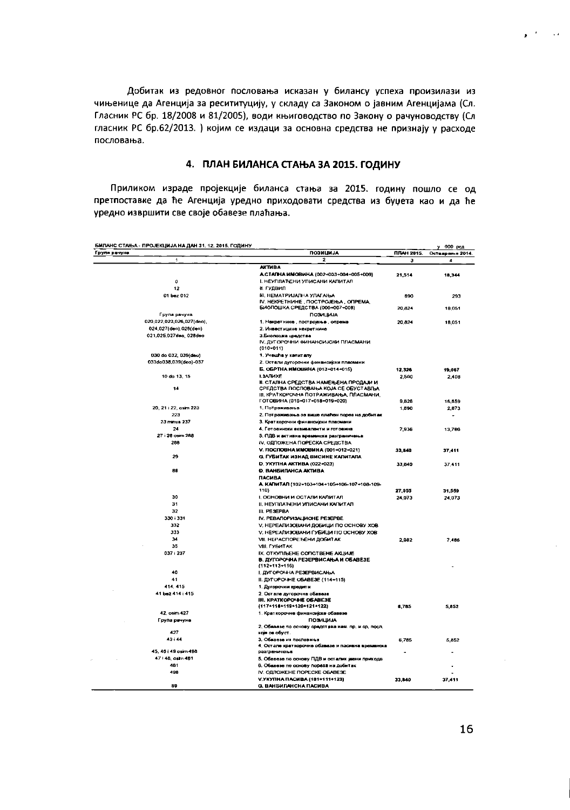Добитак из редовног пословања исказан у билансу успеха произилази из чињенице да Агенција за ресититуцију, у складу са Законом о јавним Агенцијама (Сл. Гласник РС бр. 18/2008 и 81/2005), води књиговодство по Закону о рачуноводству (Сл гласник РС бр.62/2013. ) којим се издаци за основна средства не признају у расходе пословања.

# 4. ПЛАН БИЛАНСА СТАЊА ЗА 2015. ГОДИНУ

Приликом израде пројекције биланса стања за 2015. годину пошло се од претпоставке да ће Агенција уредно приходовати средства из буџета као и да ће уредно извршити све своје обавезе плаћања.

| БИЛАНС СТАЊА - ПРОЈЕКЦИЈА НА ДАН 31. 12. 2015. ГОДИНУ |                                                                           |                   | у 000 род        |
|-------------------------------------------------------|---------------------------------------------------------------------------|-------------------|------------------|
| Група рачуна                                          | <b>ПОЗИЦИЈА</b>                                                           | <b>ПЛАН 2015.</b> | Остваренье 2014. |
| $\overline{\phantom{a}}$                              | 2                                                                         | з                 | 4                |
|                                                       | <b>AKTMBA</b>                                                             |                   |                  |
| $\mathbf{0}$                                          | A CTARHA MMOBWHA (002+003+004+005+009)<br>І. НЕУПЛАЋЕНИ УПИСАНИ КАПИТАЛ   | 21,514            | 18,344           |
| 12                                                    | <b>II. LATIONU</b>                                                        |                   |                  |
|                                                       |                                                                           |                   |                  |
| 01 bez 012                                            | <b>III, НЕМАТРИЈАЛНА УЛАГАЊА</b><br>IV. HEKPETHIAHE, ПОСТРОЈЕЊА, ОПРЕМА   | 690               | 293              |
|                                                       | БИОЛОШКА СРЕДСТВА (006+007+008)                                           | 20,824            | 18.051           |
| Група рачуна                                          | ПОЗИЦИЈА                                                                  |                   |                  |
| 020.022.023.026.027(dec).                             | 1. Некретнине , постројења опрема                                         | 20,824            | 10,051           |
| 024,027(dec).028(dec)                                 | 2. Инвестицине некретнине                                                 |                   |                  |
| 021,025,027deo, 028deo                                | 3.Биопошка средства                                                       |                   |                  |
|                                                       | IV, ДУГОРОЧНИ ФИНАНСИЈСКИ ПЛАСМАНИ<br>$(010 - 011)$                       |                   |                  |
| 030 do 032, 039(deo)                                  | 1. Учешћа у капиталу                                                      |                   |                  |
| 033do038.039(deo)-037                                 | 2. Остали дугорочни финансијски пласмани                                  |                   |                  |
|                                                       | Б. ОБРТНА ИМОВИНА (013+014+015)                                           | 12,326            | 19.067           |
| 10 do 13, 15                                          | <b>L3AIMXF</b>                                                            | 2,500             | 2,408            |
|                                                       | II. СТАЛНА СРЕДСТВА НАМЕЊЕНА ПРОДАЈИ И                                    |                   |                  |
| 14                                                    | СРЕДСТВА ПОСЛОВАЊА КОЈА СЕ ОБУСТАВЉА                                      |                   |                  |
|                                                       | III. КРАТКОРОЧНА ПОТРАЖИВАЊА, ПЛАСМАНИ,                                   |                   |                  |
|                                                       | ГОТОВИНА (016+017+018+019+020)                                            | 9,526             | 16,659           |
| 20, 21 i 22, osim 223<br>223                          | 1. Потраживања                                                            | 1,890             | 2,873            |
|                                                       | 2. Потраживања за више плаћен порез на добитак                            |                   |                  |
| 23 minus 237                                          | 3. Крат корочни финансијски пласмани                                      |                   |                  |
| 24<br>27 i 28 osim 288                                | 4. Готовински еквиваленти и готовина                                      | 7,936             | 13,786           |
| 288                                                   | 5. ПДВ и активна временска разграниченых<br>IV, ОДЛОЖЕНА ПОРЕСКА СРЕДСТВА |                   |                  |
|                                                       |                                                                           |                   |                  |
| 29                                                    | V. ПОСЛОВНА ИМОВИНА (001+012+021)                                         | 33.840            | 37 411           |
|                                                       | G. ГУБИТАК ИЗНАД ВИСИНЕ КАПИТАЛА<br>D. УКУПНА АКТИВА (022+023)            |                   |                  |
| 88                                                    | <b>D. BAH5HRAHCA AKTHBA</b>                                               | 33,840            | 37,411           |
|                                                       | <b><i><u>TACHEA</u></i></b>                                               |                   |                  |
|                                                       | A. KARIHTAR (102+103+104+105+106-107+108-109-                             |                   |                  |
|                                                       | 110)                                                                      | 27.055            | 31.559           |
| 30                                                    | І, ОСНОВНИ И ОСТАЛИ КАЛИТАЛ                                               | 24.073            | 24,073           |
| 31                                                    | <b>II. НЕУПЛАЋЕНИ УПИСАНИ КАПИТАЛ</b>                                     |                   |                  |
| 32                                                    | III. PE3EPBA                                                              |                   |                  |
| 330 i 331                                             | IV. PEBAЛOPИЗАЦИОНЕ PESEPBE                                               |                   |                  |
| 332                                                   | V. НЕРЕАЛИЗОВАНИ ДОБИЦИ ПО ОСНОВУ ХОВ                                     |                   |                  |
| 333                                                   | V. НЕРЕАЛИЗОВАНИ ГУБИЦИ ПО ОСНОВУ ХОВ                                     |                   |                  |
| 34                                                    | <b>VII. НЕРАСПОРЕЂЕНИ ДОБИТАК</b>                                         | 2,982             | 7.466            |
| 35                                                    | VIII. ГУБИТАК                                                             |                   |                  |
| 037 i 237                                             | IX. OTKYTIJLEHE COLICTBEHE AKLIMJE                                        |                   |                  |
|                                                       | В. ДУГОРОЧНА РЕЗЕРВИСАЊА И ОБАВЕЗЕ<br>$(112 - 113 - 116)$                 |                   |                  |
| 40                                                    | І. ДУГОРОЧНА РЕЗЕРВИСАЊА                                                  |                   |                  |
| 41                                                    | II. ДУГОРОЧНЕ ОБАВЕЗЕ (114+115)                                           |                   |                  |
| 414.415                                               | 1. Дугорочни кредит и                                                     |                   |                  |
| 41 bez 414 i 415                                      | 2. Остале дугорочне обавезе                                               |                   |                  |
|                                                       | III. KPATKOPO-HE OBABE3E                                                  |                   |                  |
|                                                       | (117+118+119+120+121+122)                                                 | 8,785             | 5,852            |
| 42. osim 427                                          | 1. Крат корочне финансијске обавезе                                       |                   |                  |
| Група рачуна                                          | <b>ПОЗИЦИЈА</b>                                                           |                   |                  |
|                                                       | 2. Обавезе по основу средствва нам. пр. и ср. посл.                       |                   |                  |
| 427                                                   | које се обуст.                                                            |                   |                  |
| 43 i 44                                               | 3. Обварае из пословање                                                   | 6,785             | 5,852            |
| 45, 46 i 49 osim 498                                  | 4. Остале краткорочне обавезе и пасивна временска<br>разграничења         |                   |                  |
| 47 i 48, osim 481                                     | 5. Обавезе по основу ПДВ и осталих јавни прихода                          |                   |                  |
| 481                                                   | 6. Обавезе по основу пореза на добитак                                    |                   |                  |
| 498                                                   | IV. OBJIOWEHE ROPECKE OBABESE                                             |                   |                  |
|                                                       | V.УКУПНА ПАСИВА (101+111+123)                                             | 33,840            | 37.411           |
| <b>RR</b>                                             | <b>G. ВАНБИЛАНСНА ПАСИВА</b>                                              |                   |                  |

 $\mathbf{y}^{(i)}$  for  $i=1,2$